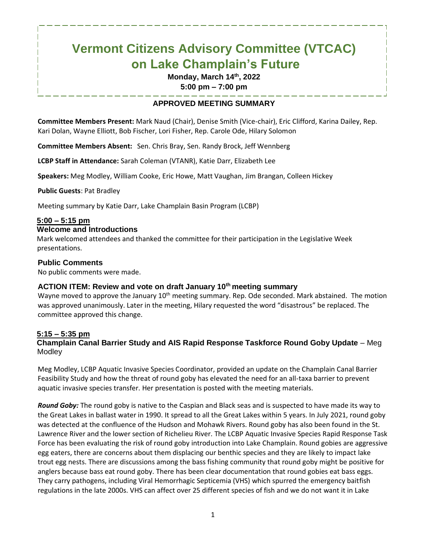# **Vermont Citizens Advisory Committee (VTCAC) on Lake Champlain's Future**

**Monday, March 14 th, 2022 5:00 pm – 7:00 pm**

# **APPROVED MEETING SUMMARY**

**Committee Members Present:** Mark Naud (Chair), Denise Smith (Vice-chair), Eric Clifford, Karina Dailey, Rep. Kari Dolan, Wayne Elliott, Bob Fischer, Lori Fisher, Rep. Carole Ode, Hilary Solomon

**Committee Members Absent:** Sen. Chris Bray, Sen. Randy Brock, Jeff Wennberg

**LCBP Staff in Attendance:** Sarah Coleman (VTANR), Katie Darr, Elizabeth Lee

**Speakers:** Meg Modley, William Cooke, Eric Howe, Matt Vaughan, Jim Brangan, Colleen Hickey

**Public Guests**: Pat Bradley

Meeting summary by Katie Darr, Lake Champlain Basin Program (LCBP)

## **5:00 – 5:15 pm**

#### **Welcome and Introductions**

Mark welcomed attendees and thanked the committee for their participation in the Legislative Week presentations.

#### **Public Comments**

No public comments were made.

#### **ACTION ITEM: Review and vote on draft January 10th meeting summary**

Wayne moved to approve the January 10<sup>th</sup> meeting summary. Rep. Ode seconded. Mark abstained. The motion was approved unanimously. Later in the meeting, Hilary requested the word "disastrous" be replaced. The committee approved this change.

### **5:15 – 5:35 pm**

### **Champlain Canal Barrier Study and AIS Rapid Response Taskforce Round Goby Update** – Meg Modley

Meg Modley, LCBP Aquatic Invasive Species Coordinator, provided an update on the Champlain Canal Barrier Feasibility Study and how the threat of round goby has elevated the need for an all-taxa barrier to prevent aquatic invasive species transfer. Her presentation is posted with the meeting materials.

*Round Goby:* The round goby is native to the Caspian and Black seas and is suspected to have made its way to the Great Lakes in ballast water in 1990. It spread to all the Great Lakes within 5 years. In July 2021, round goby was detected at the confluence of the Hudson and Mohawk Rivers. Round goby has also been found in the St. Lawrence River and the lower section of Richelieu River. The LCBP Aquatic Invasive Species Rapid Response Task Force has been evaluating the risk of round goby introduction into Lake Champlain. Round gobies are aggressive egg eaters, there are concerns about them displacing our benthic species and they are likely to impact lake trout egg nests. There are discussions among the bass fishing community that round goby might be positive for anglers because bass eat round goby. There has been clear documentation that round gobies eat bass eggs. They carry pathogens, including Viral Hemorrhagic Septicemia (VHS) which spurred the emergency baitfish regulations in the late 2000s. VHS can affect over 25 different species of fish and we do not want it in Lake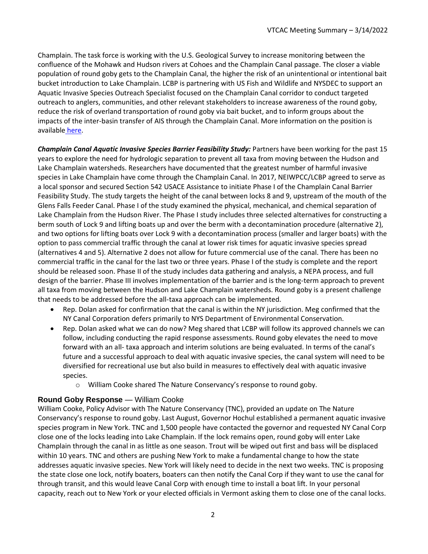Champlain. The task force is working with the U.S. Geological Survey to increase monitoring between the confluence of the Mohawk and Hudson rivers at Cohoes and the Champlain Canal passage. The closer a viable population of round goby gets to the Champlain Canal, the higher the risk of an unintentional or intentional bait bucket introduction to Lake Champlain. LCBP is partnering with US Fish and Wildlife and NYSDEC to support an Aquatic Invasive Species Outreach Specialist focused on the Champlain Canal corridor to conduct targeted outreach to anglers, communities, and other relevant stakeholders to increase awareness of the round goby, reduce the risk of overland transportation of round goby via bait bucket, and to inform groups about the impacts of the inter-basin transfer of AIS through the Champlain Canal. More information on the position is available [here.](https://neiwpcc.org/wp-content/uploads/2022/03/EA-LCBP-AIS-Outreach.pdf)

*Champlain Canal Aquatic Invasive Species Barrier Feasibility Study:* Partners have been working for the past 15 years to explore the need for hydrologic separation to prevent all taxa from moving between the Hudson and Lake Champlain watersheds. Researchers have documented that the greatest number of harmful invasive species in Lake Champlain have come through the Champlain Canal. In 2017, NEIWPCC/LCBP agreed to serve as a local sponsor and secured Section 542 USACE Assistance to initiate Phase I of the Champlain Canal Barrier Feasibility Study. The study targets the height of the canal between locks 8 and 9, upstream of the mouth of the Glens Falls Feeder Canal. Phase I of the study examined the physical, mechanical, and chemical separation of Lake Champlain from the Hudson River. The Phase I study includes three selected alternatives for constructing a berm south of Lock 9 and lifting boats up and over the berm with a decontamination procedure (alternative 2), and two options for lifting boats over Lock 9 with a decontamination process (smaller and larger boats) with the option to pass commercial traffic through the canal at lower risk times for aquatic invasive species spread (alternatives 4 and 5). Alternative 2 does not allow for future commercial use of the canal. There has been no commercial traffic in the canal for the last two or three years. Phase I of the study is complete and the report should be released soon. Phase II of the study includes data gathering and analysis, a NEPA process, and full design of the barrier. Phase III involves implementation of the barrier and is the long-term approach to prevent all taxa from moving between the Hudson and Lake Champlain watersheds. Round goby is a present challenge that needs to be addressed before the all-taxa approach can be implemented.

- Rep. Dolan asked for confirmation that the canal is within the NY jurisdiction. Meg confirmed that the NY Canal Corporation defers primarily to NYS Department of Environmental Conservation.
- Rep. Dolan asked what we can do now? Meg shared that LCBP will follow its approved channels we can follow, including conducting the rapid response assessments. Round goby elevates the need to move forward with an all- taxa approach and interim solutions are being evaluated. In terms of the canal's future and a successful approach to deal with aquatic invasive species, the canal system will need to be diversified for recreational use but also build in measures to effectively deal with aquatic invasive species.
	- o William Cooke shared The Nature Conservancy's response to round goby.

### **Round Goby Response** — William Cooke

William Cooke, Policy Advisor with The Nature Conservancy (TNC), provided an update on The Nature Conservancy's response to round goby. Last August, Governor Hochul established a permanent aquatic invasive species program in New York. TNC and 1,500 people have contacted the governor and requested NY Canal Corp close one of the locks leading into Lake Champlain. If the lock remains open, round goby will enter Lake Champlain through the canal in as little as one season. Trout will be wiped out first and bass will be displaced within 10 years. TNC and others are pushing New York to make a fundamental change to how the state addresses aquatic invasive species. New York will likely need to decide in the next two weeks. TNC is proposing the state close one lock, notify boaters, boaters can then notify the Canal Corp if they want to use the canal for through transit, and this would leave Canal Corp with enough time to install a boat lift. In your personal capacity, reach out to New York or your elected officials in Vermont asking them to close one of the canal locks.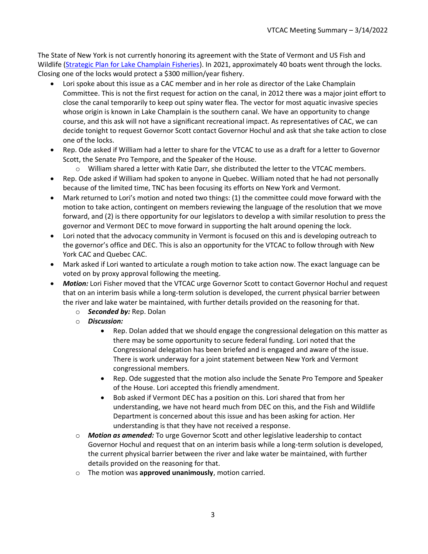The State of New York is not currently honoring its agreement with the State of Vermont and US Fish and Wildlife [\(Strategic Plan for Lake Champlain Fisheries\)](https://vtfishandwildlife.com/sites/fishandwildlife/files/documents/Learn%20More/Library/REPORTS%20AND%20DOCUMENTS/FISHERIES%20MANAGEMENT/Strategic-Plan-For-Lake-Champlain-Fisheries-2020.pdf). In 2021, approximately 40 boats went through the locks. Closing one of the locks would protect a \$300 million/year fishery.

- Lori spoke about this issue as a CAC member and in her role as director of the Lake Champlain Committee. This is not the first request for action on the canal, in 2012 there was a major joint effort to close the canal temporarily to keep out spiny water flea. The vector for most aquatic invasive species whose origin is known in Lake Champlain is the southern canal. We have an opportunity to change course, and this ask will not have a significant recreational impact. As representatives of CAC, we can decide tonight to request Governor Scott contact Governor Hochul and ask that she take action to close one of the locks.
- Rep. Ode asked if William had a letter to share for the VTCAC to use as a draft for a letter to Governor Scott, the Senate Pro Tempore, and the Speaker of the House.
	- o William shared a letter with Katie Darr, she distributed the letter to the VTCAC members.
- Rep. Ode asked if William had spoken to anyone in Quebec. William noted that he had not personally because of the limited time, TNC has been focusing its efforts on New York and Vermont.
- Mark returned to Lori's motion and noted two things: (1) the committee could move forward with the motion to take action, contingent on members reviewing the language of the resolution that we move forward, and (2) is there opportunity for our legislators to develop a with similar resolution to press the governor and Vermont DEC to move forward in supporting the halt around opening the lock.
- Lori noted that the advocacy community in Vermont is focused on this and is developing outreach to the governor's office and DEC. This is also an opportunity for the VTCAC to follow through with New York CAC and Quebec CAC.
- Mark asked if Lori wanted to articulate a rough motion to take action now. The exact language can be voted on by proxy approval following the meeting.
- *Motion:* Lori Fisher moved that the VTCAC urge Governor Scott to contact Governor Hochul and request that on an interim basis while a long-term solution is developed, the current physical barrier between the river and lake water be maintained, with further details provided on the reasoning for that.
	- o *Seconded by:* Rep. Dolan
	- o *Discussion:*
		- Rep. Dolan added that we should engage the congressional delegation on this matter as there may be some opportunity to secure federal funding. Lori noted that the Congressional delegation has been briefed and is engaged and aware of the issue. There is work underway for a joint statement between New York and Vermont congressional members.
		- Rep. Ode suggested that the motion also include the Senate Pro Tempore and Speaker of the House. Lori accepted this friendly amendment.
		- Bob asked if Vermont DEC has a position on this. Lori shared that from her understanding, we have not heard much from DEC on this, and the Fish and Wildlife Department is concerned about this issue and has been asking for action. Her understanding is that they have not received a response.
	- o *Motion as amended:* To urge Governor Scott and other legislative leadership to contact Governor Hochul and request that on an interim basis while a long-term solution is developed, the current physical barrier between the river and lake water be maintained, with further details provided on the reasoning for that.
	- o The motion was **approved unanimously**, motion carried.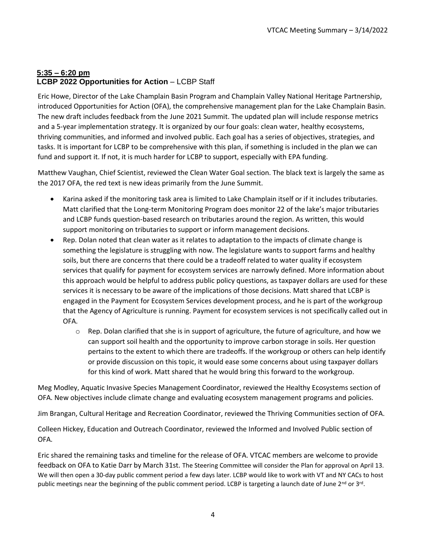# **5:35 – 6:20 pm LCBP 2022 Opportunities for Action – LCBP Staff**

Eric Howe, Director of the Lake Champlain Basin Program and Champlain Valley National Heritage Partnership, introduced Opportunities for Action (OFA), the comprehensive management plan for the Lake Champlain Basin. The new draft includes feedback from the June 2021 Summit. The updated plan will include response metrics and a 5-year implementation strategy. It is organized by our four goals: clean water, healthy ecosystems, thriving communities, and informed and involved public. Each goal has a series of objectives, strategies, and tasks. It is important for LCBP to be comprehensive with this plan, if something is included in the plan we can fund and support it. If not, it is much harder for LCBP to support, especially with EPA funding.

Matthew Vaughan, Chief Scientist, reviewed the Clean Water Goal section. The black text is largely the same as the 2017 OFA, the red text is new ideas primarily from the June Summit.

- Karina asked if the monitoring task area is limited to Lake Champlain itself or if it includes tributaries. Matt clarified that the Long-term Monitoring Program does monitor 22 of the lake's major tributaries and LCBP funds question-based research on tributaries around the region. As written, this would support monitoring on tributaries to support or inform management decisions.
- Rep. Dolan noted that clean water as it relates to adaptation to the impacts of climate change is something the legislature is struggling with now. The legislature wants to support farms and healthy soils, but there are concerns that there could be a tradeoff related to water quality if ecosystem services that qualify for payment for ecosystem services are narrowly defined. More information about this approach would be helpful to address public policy questions, as taxpayer dollars are used for these services it is necessary to be aware of the implications of those decisions. Matt shared that LCBP is engaged in the Payment for Ecosystem Services development process, and he is part of the workgroup that the Agency of Agriculture is running. Payment for ecosystem services is not specifically called out in OFA.
	- $\circ$  Rep. Dolan clarified that she is in support of agriculture, the future of agriculture, and how we can support soil health and the opportunity to improve carbon storage in soils. Her question pertains to the extent to which there are tradeoffs. If the workgroup or others can help identify or provide discussion on this topic, it would ease some concerns about using taxpayer dollars for this kind of work. Matt shared that he would bring this forward to the workgroup.

Meg Modley, Aquatic Invasive Species Management Coordinator, reviewed the Healthy Ecosystems section of OFA. New objectives include climate change and evaluating ecosystem management programs and policies.

Jim Brangan, Cultural Heritage and Recreation Coordinator, reviewed the Thriving Communities section of OFA.

Colleen Hickey, Education and Outreach Coordinator, reviewed the Informed and Involved Public section of OFA.

Eric shared the remaining tasks and timeline for the release of OFA. VTCAC members are welcome to provide feedback on OFA to Katie Darr by March 31st. The Steering Committee will consider the Plan for approval on April 13. We will then open a 30-day public comment period a few days later. LCBP would like to work with VT and NY CACs to host public meetings near the beginning of the public comment period. LCBP is targeting a launch date of June 2<sup>nd</sup> or 3<sup>rd</sup>.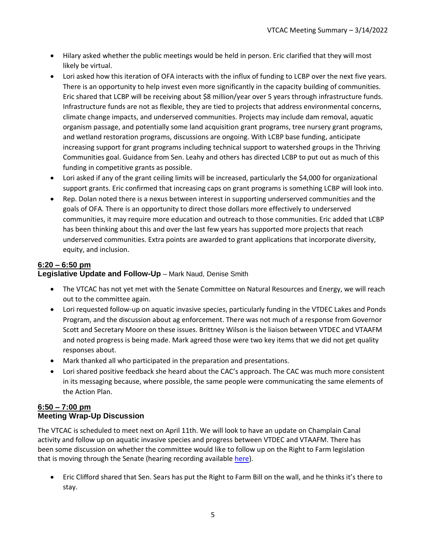- Hilary asked whether the public meetings would be held in person. Eric clarified that they will most likely be virtual.
- Lori asked how this iteration of OFA interacts with the influx of funding to LCBP over the next five years. There is an opportunity to help invest even more significantly in the capacity building of communities. Eric shared that LCBP will be receiving about \$8 million/year over 5 years through infrastructure funds. Infrastructure funds are not as flexible, they are tied to projects that address environmental concerns, climate change impacts, and underserved communities. Projects may include dam removal, aquatic organism passage, and potentially some land acquisition grant programs, tree nursery grant programs, and wetland restoration programs, discussions are ongoing. With LCBP base funding, anticipate increasing support for grant programs including technical support to watershed groups in the Thriving Communities goal. Guidance from Sen. Leahy and others has directed LCBP to put out as much of this funding in competitive grants as possible.
- Lori asked if any of the grant ceiling limits will be increased, particularly the \$4,000 for organizational support grants. Eric confirmed that increasing caps on grant programs is something LCBP will look into.
- Rep. Dolan noted there is a nexus between interest in supporting underserved communities and the goals of OFA. There is an opportunity to direct those dollars more effectively to underserved communities, it may require more education and outreach to those communities. Eric added that LCBP has been thinking about this and over the last few years has supported more projects that reach underserved communities. Extra points are awarded to grant applications that incorporate diversity, equity, and inclusion.

# **6:20 – 6:50 pm**

**Legislative Update and Follow-Up** – Mark Naud, Denise Smith

- The VTCAC has not yet met with the Senate Committee on Natural Resources and Energy, we will reach out to the committee again.
- Lori requested follow-up on aquatic invasive species, particularly funding in the VTDEC Lakes and Ponds Program, and the discussion about ag enforcement. There was not much of a response from Governor Scott and Secretary Moore on these issues. Brittney Wilson is the liaison between VTDEC and VTAAFM and noted progress is being made. Mark agreed those were two key items that we did not get quality responses about.
- Mark thanked all who participated in the preparation and presentations.
- Lori shared positive feedback she heard about the CAC's approach. The CAC was much more consistent in its messaging because, where possible, the same people were communicating the same elements of the Action Plan.

## **6:50 – 7:00 pm Meeting Wrap-Up Discussion**

The VTCAC is scheduled to meet next on April 11th. We will look to have an update on Champlain Canal activity and follow up on aquatic invasive species and progress between VTDEC and VTAAFM. There has been some discussion on whether the committee would like to follow up on the Right to Farm legislation that is moving through the Senate (hearing recording available [here\)](https://www.youtube.com/watch?v=vnUF8nYCJHs).

• Eric Clifford shared that Sen. Sears has put the Right to Farm Bill on the wall, and he thinks it's there to stay.